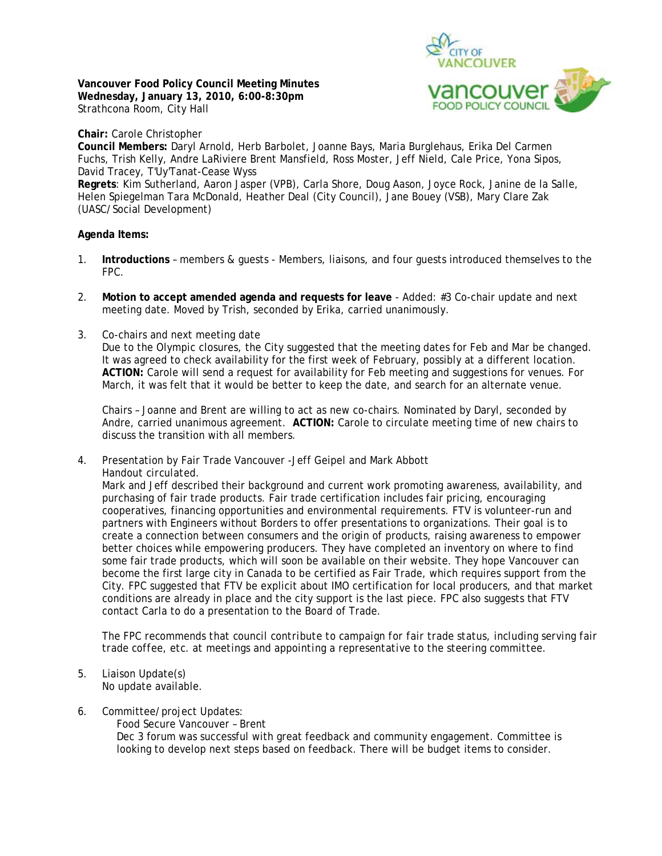**Vancouver Food Policy Council Meeting Minutes Wednesday, January 13, 2010, 6:00-8:30pm**  Strathcona Room, City Hall



**Chair:** Carole Christopher **Council Members:** Daryl Arnold, Herb Barbolet, Joanne Bays, Maria Burglehaus, Erika Del Carmen Fuchs, Trish Kelly, Andre LaRiviere Brent Mansfield, Ross Moster, Jeff Nield, Cale Price, Yona Sipos, David Tracey, T'Uy'Tanat-Cease Wyss **Regrets**: Kim Sutherland, Aaron Jasper (VPB), Carla Shore, Doug Aason, Joyce Rock, Janine de la Salle, Helen Spiegelman Tara McDonald, Heather Deal (City Council), Jane Bouey (VSB), Mary Clare Zak (UASC/Social Development)

## **Agenda Items:**

- 1. **Introductions** members & guests Members, liaisons, and four guests introduced themselves to the FPC.
- 2. **Motion to accept amended agenda and requests for leave** Added: #3 Co-chair update and next meeting date. Moved by Trish, seconded by Erika, carried unanimously.
- 3. Co-chairs and next meeting date Due to the Olympic closures, the City suggested that the meeting dates for Feb and Mar be changed. It was agreed to check availability for the first week of February, possibly at a different location. **ACTION:** Carole will send a request for availability for Feb meeting and suggestions for venues. For March, it was felt that it would be better to keep the date, and search for an alternate venue.

Chairs – Joanne and Brent are willing to act as new co-chairs. Nominated by Daryl, seconded by Andre, carried unanimous agreement. **ACTION:** Carole to circulate meeting time of new chairs to discuss the transition with all members.

4. Presentation by Fair Trade Vancouver -Jeff Geipel and Mark Abbott *Handout circulated.*

Mark and Jeff described their background and current work promoting awareness, availability, and purchasing of fair trade products. Fair trade certification includes fair pricing, encouraging cooperatives, financing opportunities and environmental requirements. FTV is volunteer-run and partners with Engineers without Borders to offer presentations to organizations. Their goal is to create a connection between consumers and the origin of products, raising awareness to empower better choices while empowering producers. They have completed an inventory on where to find some fair trade products, which will soon be available on their website. They hope Vancouver can become the first large city in Canada to be certified as Fair Trade, which requires support from the City. FPC suggested that FTV be explicit about IMO certification for local producers, and that market conditions are already in place and the city support is the last piece. FPC also suggests that FTV contact Carla to do a presentation to the Board of Trade.

*The FPC recommends that council contribute to campaign for fair trade status, including serving fair trade coffee, etc. at meetings and appointing a representative to the steering committee.* 

- 5. Liaison Update(s) No update available.
- 6. Committee/project Updates:

Food Secure Vancouver – Brent Dec 3 forum was successful with great feedback and community engagement. Committee is looking to develop next steps based on feedback. There will be budget items to consider.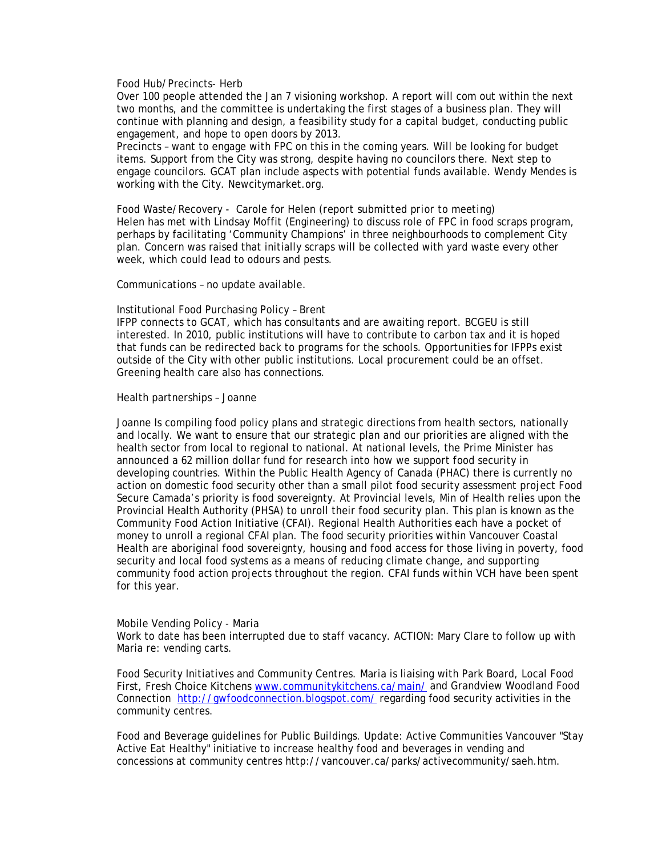## Food Hub/Precincts- Herb

Over 100 people attended the Jan 7 visioning workshop. A report will com out within the next two months, and the committee is undertaking the first stages of a business plan. They will continue with planning and design, a feasibility study for a capital budget, conducting public engagement, and hope to open doors by 2013.

Precincts – want to engage with FPC on this in the coming years. Will be looking for budget items. Support from the City was strong, despite having no councilors there. Next step to engage councilors. GCAT plan include aspects with potential funds available. Wendy Mendes is working with the City. Newcitymarket.org.

Food Waste/Recovery - Carole for Helen *(report submitted prior to meeting)* Helen has met with Lindsay Moffit (Engineering) to discuss role of FPC in food scraps program, perhaps by facilitating 'Community Champions' in three neighbourhoods to complement City plan. Concern was raised that initially scraps will be collected with yard waste every other week, which could lead to odours and pests.

Communications – no update available.

## Institutional Food Purchasing Policy – Brent

IFPP connects to GCAT, which has consultants and are awaiting report. BCGEU is still interested. In 2010, public institutions will have to contribute to carbon tax and it is hoped that funds can be redirected back to programs for the schools. Opportunities for IFPPs exist outside of the City with other public institutions. Local procurement could be an offset. Greening health care also has connections.

## Health partnerships – Joanne

Joanne Is compiling food policy plans and strategic directions from health sectors, nationally and locally. We want to ensure that our strategic plan and our priorities are aligned with the health sector from local to regional to national. At national levels, the Prime Minister has announced a 62 million dollar fund for research into how we support food security in developing countries. Within the Public Health Agency of Canada (PHAC) there is currently no action on domestic food security other than a small pilot food security assessment project Food Secure Camada's priority is food sovereignty. At Provincial levels, Min of Health relies upon the Provincial Health Authority (PHSA) to unroll their food security plan. This plan is known as the Community Food Action Initiative (CFAI). Regional Health Authorities each have a pocket of money to unroll a regional CFAI plan. The food security priorities within Vancouver Coastal Health are aboriginal food sovereignty, housing and food access for those living in poverty, food security and local food systems as a means of reducing climate change, and supporting community food action projects throughout the region. CFAI funds within VCH have been spent for this year.

#### Mobile Vending Policy - Maria

Work to date has been interrupted due to staff vacancy. ACTION: Mary Clare to follow up with Maria re: vending carts.

Food Security Initiatives and Community Centres. Maria is liaising with Park Board, Local Food First, Fresh Choice Kitchens www.communitykitchens.ca/main/ and Grandview Woodland Food Connection http://gwfoodconnection.blogspot.com/ regarding food security activities in the community centres.

Food and Beverage guidelines for Public Buildings. Update: Active Communities Vancouver "Stay Active Eat Healthy" initiative to increase healthy food and beverages in vending and concessions at community centres http://vancouver.ca/parks/activecommunity/saeh.htm.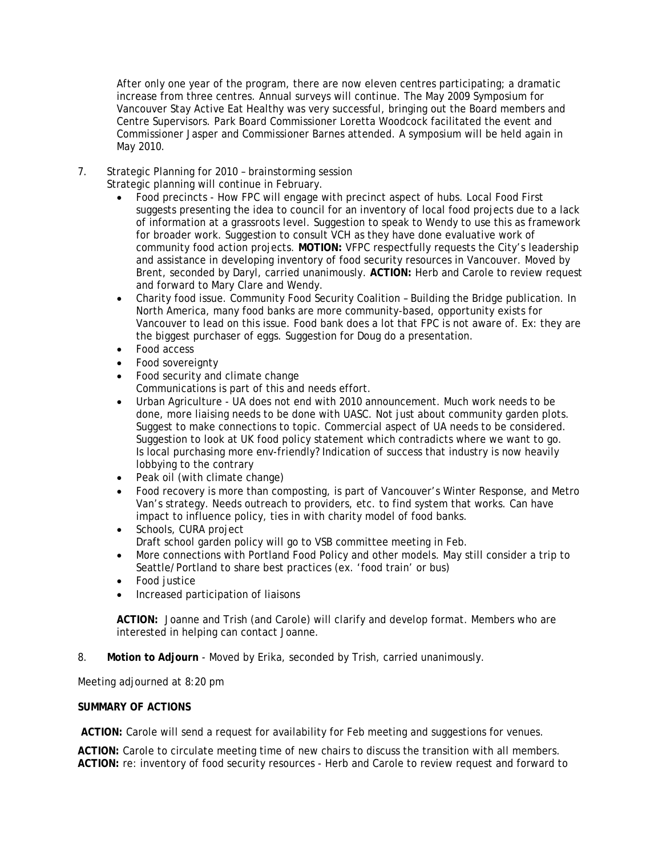After only one year of the program, there are now eleven centres participating; a dramatic increase from three centres. Annual surveys will continue. The May 2009 Symposium for Vancouver Stay Active Eat Healthy was very successful, bringing out the Board members and Centre Supervisors. Park Board Commissioner Loretta Woodcock facilitated the event and Commissioner Jasper and Commissioner Barnes attended. A symposium will be held again in May 2010.

7. Strategic Planning for 2010 – brainstorming session

Strategic planning will continue in February.

- Food precincts How FPC will engage with precinct aspect of hubs. Local Food First suggests presenting the idea to council for an inventory of local food projects due to a lack of information at a grassroots level. Suggestion to speak to Wendy to use this as framework for broader work. Suggestion to consult VCH as they have done evaluative work of community food action projects. **MOTION:** VFPC respectfully requests the City's leadership and assistance in developing inventory of food security resources in Vancouver. Moved by Brent, seconded by Daryl, carried unanimously. **ACTION:** Herb and Carole to review request and forward to Mary Clare and Wendy.
- Charity food issue. Community Food Security Coalition Building the Bridge publication. In North America, many food banks are more community-based, opportunity exists for Vancouver to lead on this issue. Food bank does a lot that FPC is not aware of. Ex: they are the biggest purchaser of eggs. Suggestion for Doug do a presentation.
- Food access
- Food sovereignty
- Food security and climate change Communications is part of this and needs effort.
- Urban Agriculture UA does not end with 2010 announcement. Much work needs to be done, more liaising needs to be done with UASC. Not just about community garden plots. Suggest to make connections to topic. Commercial aspect of UA needs to be considered. Suggestion to look at UK food policy statement which contradicts where we want to go. Is local purchasing more env-friendly? Indication of success that industry is now heavily lobbying to the contrary
- Peak oil (with climate change)
- Food recovery is more than composting, is part of Vancouver's Winter Response, and Metro Van's strategy. Needs outreach to providers, etc. to find system that works. Can have impact to influence policy, ties in with charity model of food banks.
- Schools, CURA project Draft school garden policy will go to VSB committee meeting in Feb.
- More connections with Portland Food Policy and other models. May still consider a trip to Seattle/Portland to share best practices (ex. 'food train' or bus)
- Food justice
- Increased participation of liaisons

**ACTION:** Joanne and Trish (and Carole) will clarify and develop format. Members who are interested in helping can contact Joanne.

8. **Motion to Adjourn** - Moved by Erika, seconded by Trish, carried unanimously.

Meeting adjourned at 8:20 pm

# **SUMMARY OF ACTIONS**

**ACTION:** Carole will send a request for availability for Feb meeting and suggestions for venues.

**ACTION:** Carole to circulate meeting time of new chairs to discuss the transition with all members. **ACTION:** re: inventory of food security resources - Herb and Carole to review request and forward to